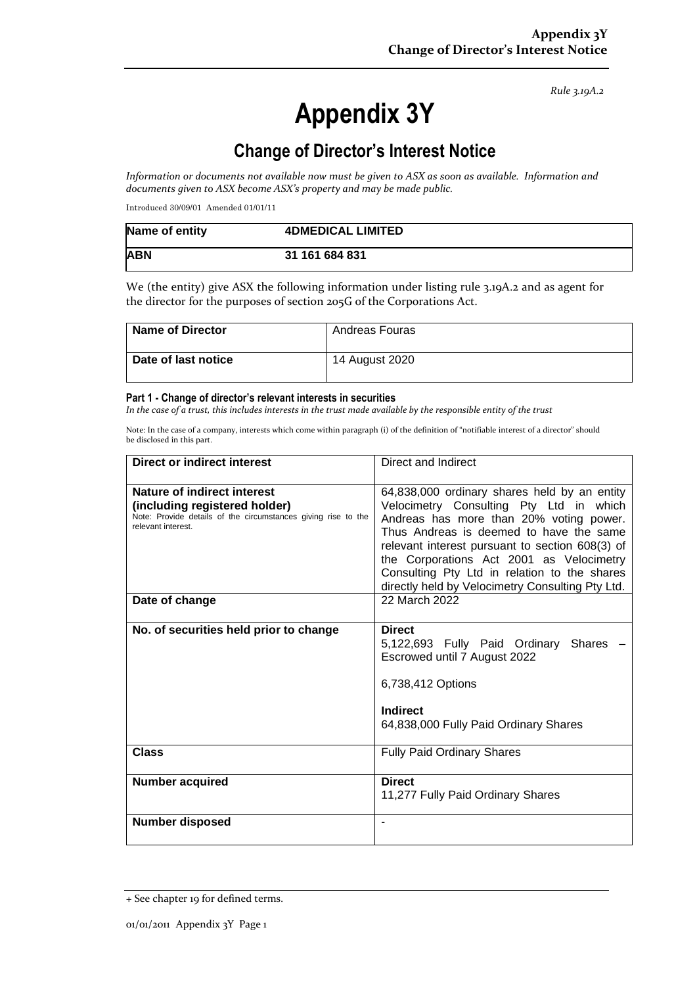*Rule 3.19A.2*

# **Appendix 3Y**

## **Change of Director's Interest Notice**

*Information or documents not available now must be given to ASX as soon as available. Information and documents given to ASX become ASX's property and may be made public.* 

Introduced 30/09/01 Amended 01/01/11

| Name of entity | <b>4DMEDICAL LIMITED</b> |  |
|----------------|--------------------------|--|
| <b>ABN</b>     | 31 161 684 831           |  |

We (the entity) give ASX the following information under listing rule 3.19A.2 and as agent for the director for the purposes of section 205G of the Corporations Act.

| <b>Name of Director</b> | Andreas Fouras |
|-------------------------|----------------|
| Date of last notice     | 14 August 2020 |

#### **Part 1 - Change of director's relevant interests in securities**

In the case of a trust, this includes interests in the trust made available by the responsible entity of the trust

Note: In the case of a company, interests which come within paragraph (i) of the definition of "notifiable interest of a director" should be disclosed in this part.

| Direct or indirect interest                                                                                                                                | Direct and Indirect                                                                                                                                                                                                                                                                                                                                                              |  |
|------------------------------------------------------------------------------------------------------------------------------------------------------------|----------------------------------------------------------------------------------------------------------------------------------------------------------------------------------------------------------------------------------------------------------------------------------------------------------------------------------------------------------------------------------|--|
| <b>Nature of indirect interest</b><br>(including registered holder)<br>Note: Provide details of the circumstances giving rise to the<br>relevant interest. | 64,838,000 ordinary shares held by an entity<br>Velocimetry Consulting Pty Ltd in which<br>Andreas has more than 20% voting power.<br>Thus Andreas is deemed to have the same<br>relevant interest pursuant to section 608(3) of<br>the Corporations Act 2001 as Velocimetry<br>Consulting Pty Ltd in relation to the shares<br>directly held by Velocimetry Consulting Pty Ltd. |  |
| Date of change                                                                                                                                             | 22 March 2022                                                                                                                                                                                                                                                                                                                                                                    |  |
| No. of securities held prior to change                                                                                                                     | <b>Direct</b><br>5,122,693 Fully Paid Ordinary Shares<br>Escrowed until 7 August 2022<br>6,738,412 Options<br><b>Indirect</b><br>64,838,000 Fully Paid Ordinary Shares                                                                                                                                                                                                           |  |
| <b>Class</b>                                                                                                                                               | <b>Fully Paid Ordinary Shares</b>                                                                                                                                                                                                                                                                                                                                                |  |
| <b>Number acquired</b>                                                                                                                                     | <b>Direct</b><br>11,277 Fully Paid Ordinary Shares                                                                                                                                                                                                                                                                                                                               |  |
| Number disposed                                                                                                                                            |                                                                                                                                                                                                                                                                                                                                                                                  |  |

<sup>+</sup> See chapter 19 for defined terms.